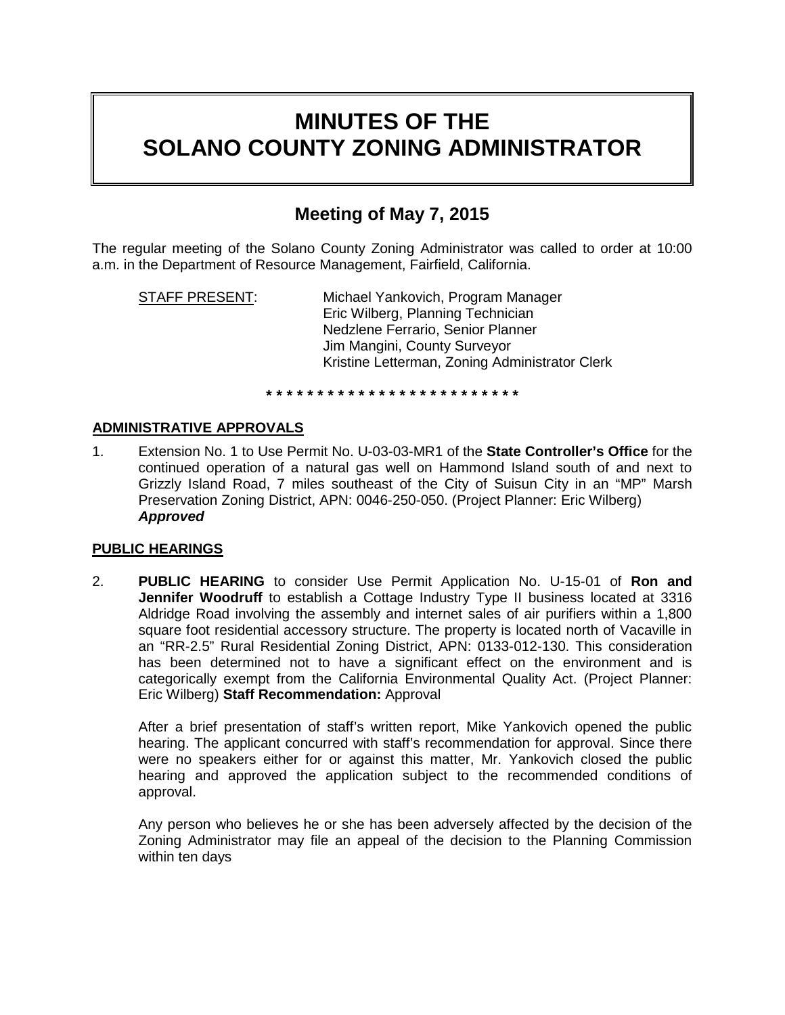# **MINUTES OF THE SOLANO COUNTY ZONING ADMINISTRATOR**

# **Meeting of May 7, 2015**

The regular meeting of the Solano County Zoning Administrator was called to order at 10:00 a.m. in the Department of Resource Management, Fairfield, California.

STAFF PRESENT: Michael Yankovich, Program Manager Eric Wilberg, Planning Technician Nedzlene Ferrario, Senior Planner Jim Mangini, County Surveyor Kristine Letterman, Zoning Administrator Clerk

## **\* \* \* \* \* \* \* \* \* \* \* \* \* \* \* \* \* \* \* \* \* \* \* \* \***

### **ADMINISTRATIVE APPROVALS**

1. Extension No. 1 to Use Permit No. U-03-03-MR1 of the **State Controller's Office** for the continued operation of a natural gas well on Hammond Island south of and next to Grizzly Island Road, 7 miles southeast of the City of Suisun City in an "MP" Marsh Preservation Zoning District, APN: 0046-250-050. (Project Planner: Eric Wilberg) *Approved*

#### **PUBLIC HEARINGS**

2. **PUBLIC HEARING** to consider Use Permit Application No. U-15-01 of **Ron and Jennifer Woodruff** to establish a Cottage Industry Type II business located at 3316 Aldridge Road involving the assembly and internet sales of air purifiers within a 1,800 square foot residential accessory structure. The property is located north of Vacaville in an "RR-2.5" Rural Residential Zoning District, APN: 0133-012-130. This consideration has been determined not to have a significant effect on the environment and is categorically exempt from the California Environmental Quality Act. (Project Planner: Eric Wilberg) **Staff Recommendation:** Approval

After a brief presentation of staff's written report, Mike Yankovich opened the public hearing. The applicant concurred with staff's recommendation for approval. Since there were no speakers either for or against this matter, Mr. Yankovich closed the public hearing and approved the application subject to the recommended conditions of approval.

Any person who believes he or she has been adversely affected by the decision of the Zoning Administrator may file an appeal of the decision to the Planning Commission within ten days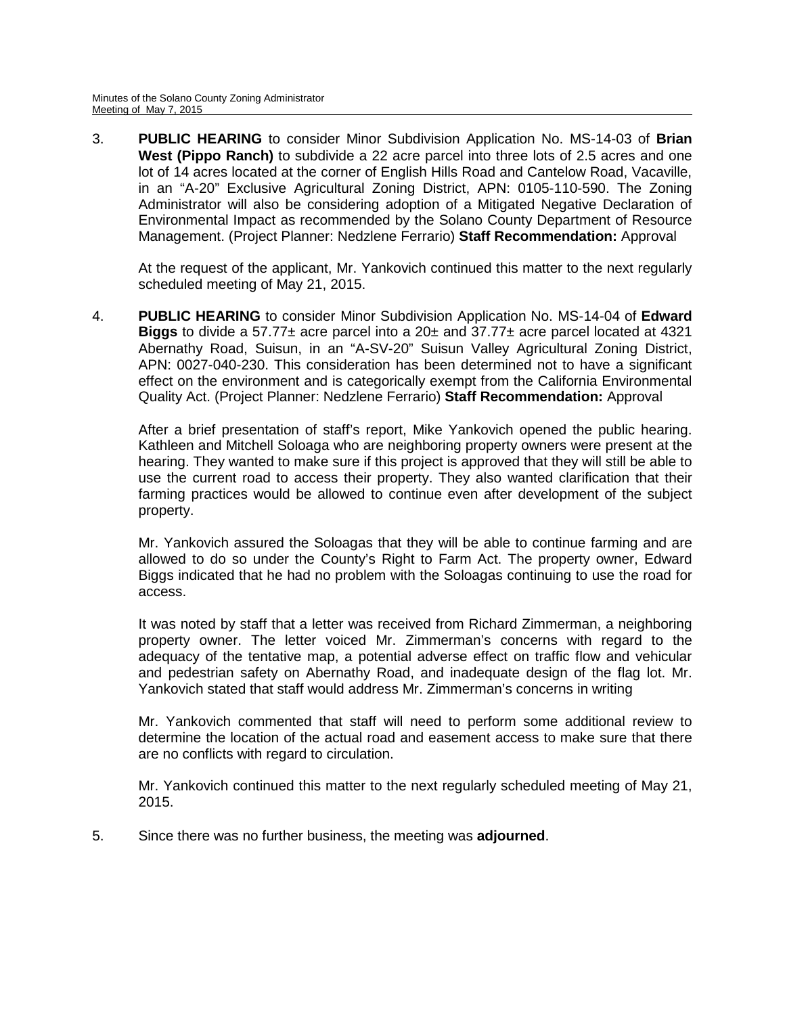3. **PUBLIC HEARING** to consider Minor Subdivision Application No. MS-14-03 of **Brian West (Pippo Ranch)** to subdivide a 22 acre parcel into three lots of 2.5 acres and one lot of 14 acres located at the corner of English Hills Road and Cantelow Road, Vacaville, in an "A-20" Exclusive Agricultural Zoning District, APN: 0105-110-590. The Zoning Administrator will also be considering adoption of a Mitigated Negative Declaration of Environmental Impact as recommended by the Solano County Department of Resource Management. (Project Planner: Nedzlene Ferrario) **Staff Recommendation:** Approval

At the request of the applicant, Mr. Yankovich continued this matter to the next regularly scheduled meeting of May 21, 2015.

4. **PUBLIC HEARING** to consider Minor Subdivision Application No. MS-14-04 of **Edward Biggs** to divide a 57.77± acre parcel into a 20± and 37.77± acre parcel located at 4321 Abernathy Road, Suisun, in an "A-SV-20" Suisun Valley Agricultural Zoning District, APN: 0027-040-230. This consideration has been determined not to have a significant effect on the environment and is categorically exempt from the California Environmental Quality Act. (Project Planner: Nedzlene Ferrario) **Staff Recommendation:** Approval

After a brief presentation of staff's report, Mike Yankovich opened the public hearing. Kathleen and Mitchell Soloaga who are neighboring property owners were present at the hearing. They wanted to make sure if this project is approved that they will still be able to use the current road to access their property. They also wanted clarification that their farming practices would be allowed to continue even after development of the subject property.

Mr. Yankovich assured the Soloagas that they will be able to continue farming and are allowed to do so under the County's Right to Farm Act. The property owner, Edward Biggs indicated that he had no problem with the Soloagas continuing to use the road for access.

It was noted by staff that a letter was received from Richard Zimmerman, a neighboring property owner. The letter voiced Mr. Zimmerman's concerns with regard to the adequacy of the tentative map, a potential adverse effect on traffic flow and vehicular and pedestrian safety on Abernathy Road, and inadequate design of the flag lot. Mr. Yankovich stated that staff would address Mr. Zimmerman's concerns in writing

Mr. Yankovich commented that staff will need to perform some additional review to determine the location of the actual road and easement access to make sure that there are no conflicts with regard to circulation.

Mr. Yankovich continued this matter to the next regularly scheduled meeting of May 21, 2015.

5. Since there was no further business, the meeting was **adjourned**.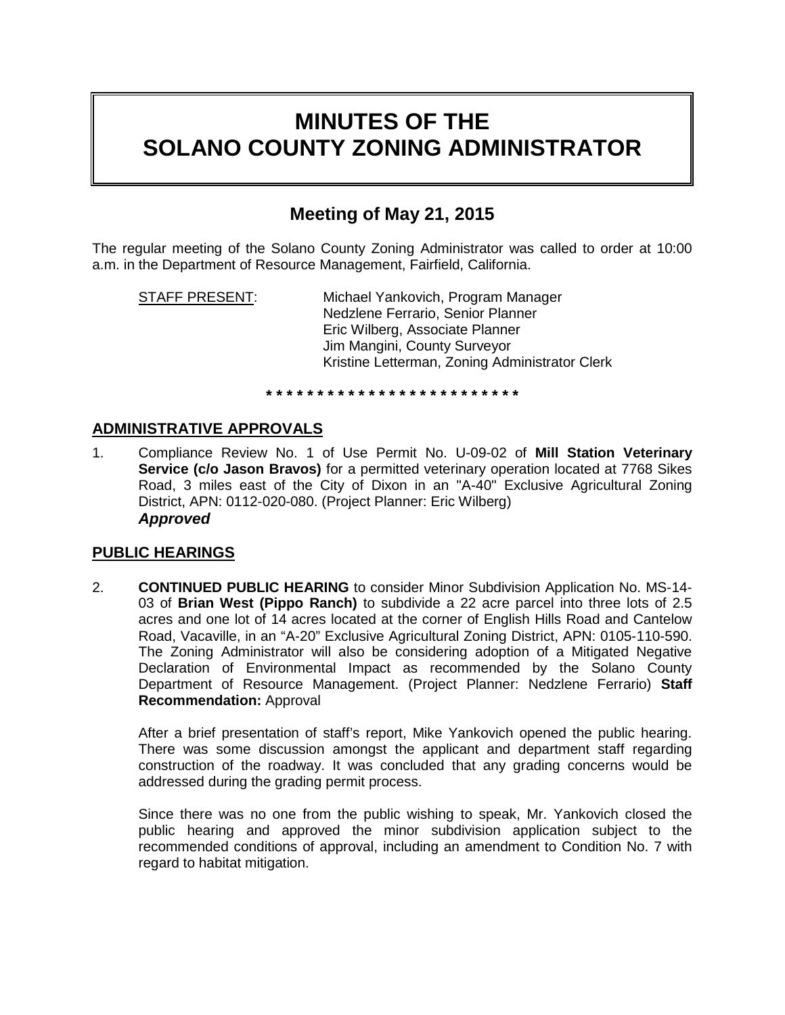# **MINUTES OF THE SOLANO COUNTY ZONING ADMINISTRATOR**

## **Meeting of May 21, 2015**

The regular meeting of the Solano County Zoning Administrator was called to order at 10:00 a.m. in the Department of Resource Management, Fairfield, California.

STAFF PRESENT: Michael Yankovich, Program Manager Nedzlene Ferrario, Senior Planner Eric Wilberg, Associate Planner Jim Mangini, County Surveyor Kristine Letterman, Zoning Administrator Clerk

#### **\* \* \* \* \* \* \* \* \* \* \* \* \* \* \* \* \* \* \* \* \* \* \* \* \***

## **ADMINISTRATIVE APPROVALS**

1. Compliance Review No. 1 of Use Permit No. U-09-02 of **Mill Station Veterinary Service (c/o Jason Bravos)** for a permitted veterinary operation located at 7768 Sikes Road, 3 miles east of the City of Dixon in an "A-40" Exclusive Agricultural Zoning District, APN: 0112-020-080. (Project Planner: Eric Wilberg) *Approved*

### **PUBLIC HEARINGS**

2. **CONTINUED PUBLIC HEARING** to consider Minor Subdivision Application No. MS-14- 03 of **Brian West (Pippo Ranch)** to subdivide a 22 acre parcel into three lots of 2.5 acres and one lot of 14 acres located at the corner of English Hills Road and Cantelow Road, Vacaville, in an "A-20" Exclusive Agricultural Zoning District, APN: 0105-110-590. The Zoning Administrator will also be considering adoption of a Mitigated Negative Declaration of Environmental Impact as recommended by the Solano County Department of Resource Management. (Project Planner: Nedzlene Ferrario) **Staff Recommendation:** Approval

After a brief presentation of staff's report, Mike Yankovich opened the public hearing. There was some discussion amongst the applicant and department staff regarding construction of the roadway. It was concluded that any grading concerns would be addressed during the grading permit process.

Since there was no one from the public wishing to speak, Mr. Yankovich closed the public hearing and approved the minor subdivision application subject to the recommended conditions of approval, including an amendment to Condition No. 7 with regard to habitat mitigation.